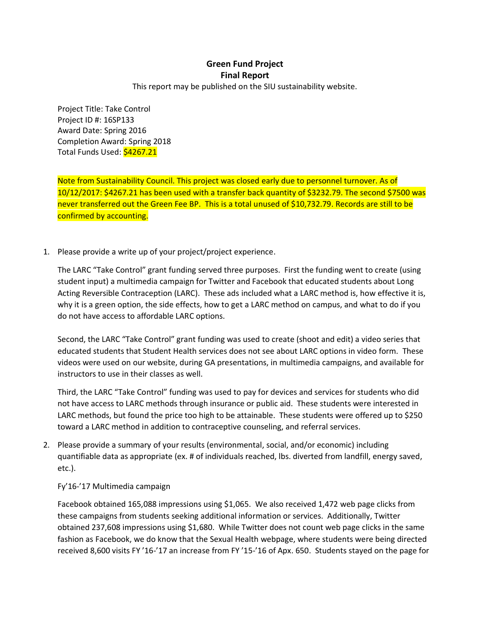## **Green Fund Project Final Report**

This report may be published on the SIU sustainability website.

Project Title: Take Control Project ID #: 16SP133 Award Date: Spring 2016 Completion Award: Spring 2018 Total Funds Used: \$4267.21

Note from Sustainability Council. This project was closed early due to personnel turnover. As of 10/12/2017: \$4267.21 has been used with a transfer back quantity of \$3232.79. The second \$7500 was never transferred out the Green Fee BP. This is a total unused of \$10,732.79. Records are still to be confirmed by accounting.

1. Please provide a write up of your project/project experience.

The LARC "Take Control" grant funding served three purposes. First the funding went to create (using student input) a multimedia campaign for Twitter and Facebook that educated students about Long Acting Reversible Contraception (LARC). These ads included what a LARC method is, how effective it is, why it is a green option, the side effects, how to get a LARC method on campus, and what to do if you do not have access to affordable LARC options.

Second, the LARC "Take Control" grant funding was used to create (shoot and edit) a video series that educated students that Student Health services does not see about LARC options in video form. These videos were used on our website, during GA presentations, in multimedia campaigns, and available for instructors to use in their classes as well.

Third, the LARC "Take Control" funding was used to pay for devices and services for students who did not have access to LARC methods through insurance or public aid. These students were interested in LARC methods, but found the price too high to be attainable. These students were offered up to \$250 toward a LARC method in addition to contraceptive counseling, and referral services.

2. Please provide a summary of your results (environmental, social, and/or economic) including quantifiable data as appropriate (ex. # of individuals reached, lbs. diverted from landfill, energy saved, etc.).

## Fy'16-'17 Multimedia campaign

Facebook obtained 165,088 impressions using \$1,065. We also received 1,472 web page clicks from these campaigns from students seeking additional information or services. Additionally, Twitter obtained 237,608 impressions using \$1,680. While Twitter does not count web page clicks in the same fashion as Facebook, we do know that the Sexual Health webpage, where students were being directed received 8,600 visits FY '16-'17 an increase from FY '15-'16 of Apx. 650. Students stayed on the page for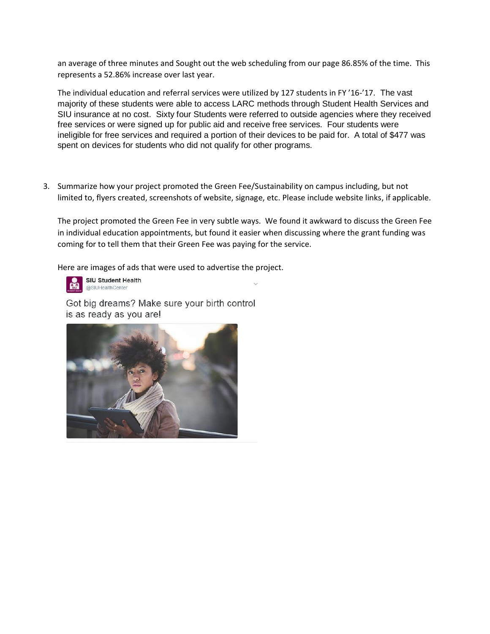an average of three minutes and Sought out the web scheduling from our page 86.85% of the time. This represents a 52.86% increase over last year.

The individual education and referral services were utilized by 127 students in FY '16-'17. The vast majority of these students were able to access LARC methods through Student Health Services and SIU insurance at no cost. Sixty four Students were referred to outside agencies where they received free services or were signed up for public aid and receive free services. Four students were ineligible for free services and required a portion of their devices to be paid for. A total of \$477 was spent on devices for students who did not qualify for other programs.

3. Summarize how your project promoted the Green Fee/Sustainability on campus including, but not limited to, flyers created, screenshots of website, signage, etc. Please include website links, if applicable.

The project promoted the Green Fee in very subtle ways. We found it awkward to discuss the Green Fee in individual education appointments, but found it easier when discussing where the grant funding was coming for to tell them that their Green Fee was paying for the service.

Here are images of ads that were used to advertise the project.



SIU Student Health @SIUHealthCenter

Got big dreams? Make sure your birth control is as ready as you are!

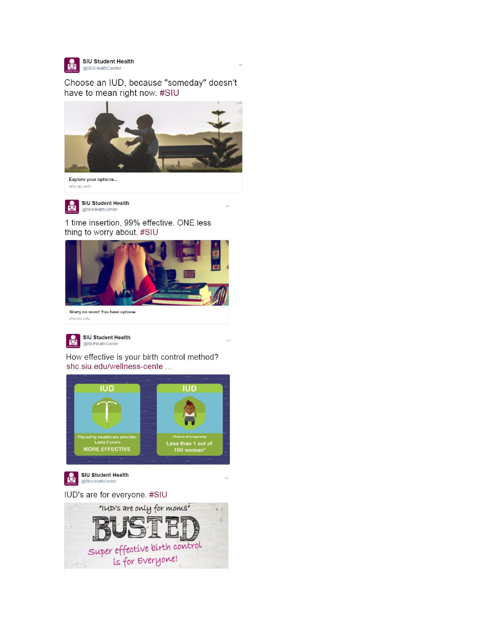

Choose an IUD, because "someday" doesn't have to mean right now. #SIU



Explore your options...  $shc.siu.edu$ 



1 time insertion, 99% effective. ONE less thing to worry about. #SIU



Worry no more! You have options. shc.siu.edu



How effective is your birth control method? shc.siu.edu/wellness-cente ...



IUD's are for everyone. #SIU